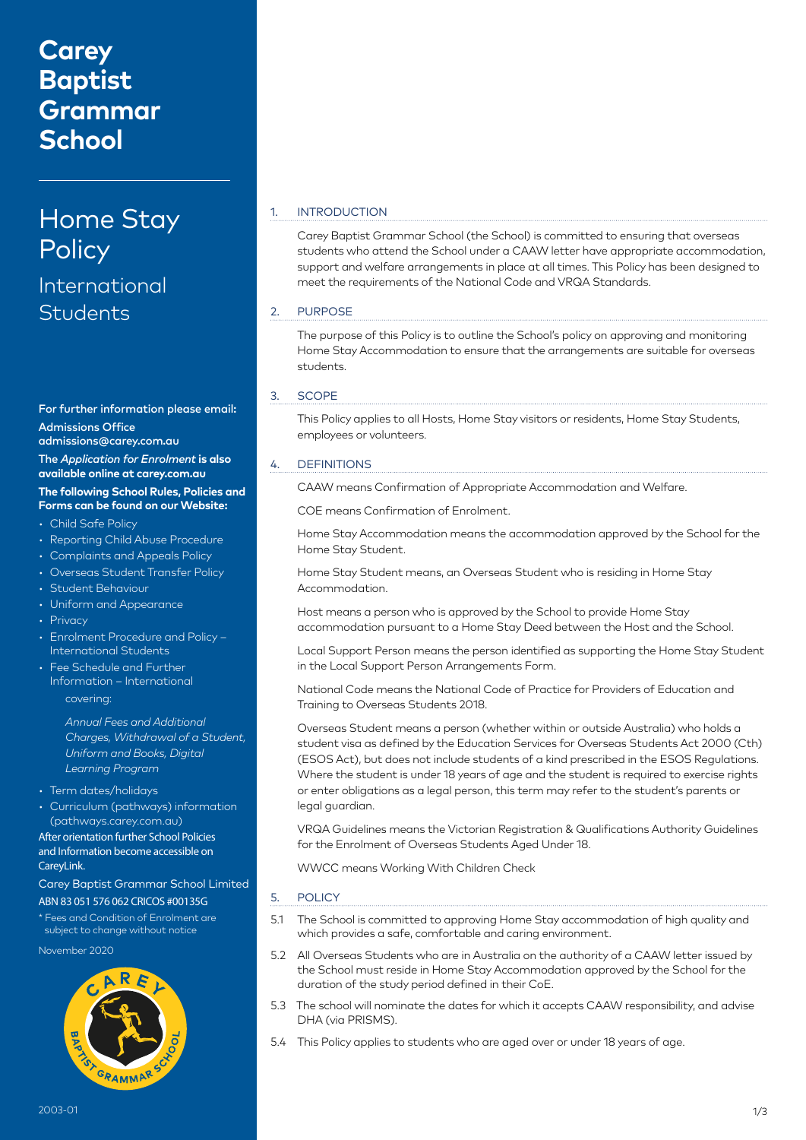## **Carey Baptist Grammar School**

# Home Stay **Policy**

## International **Students**

For further information please email: Admissions Office admissions@carey.com.au The *Application for Enrolment* **is also available online at carey.com.au The following School Rules, Policies and** 

### **Forms can be found on our Website:**

- Child Safe Policy
- Reporting Child Abuse Procedure
- Complaints and Appeals Policy
- Overseas Student Transfer Policy
- Student Behaviour
- Uniform and Appearance
- Privacy
- Enrolment Procedure and Policy International Students
- Fee Schedule and Further Information – International covering:

*Annual Fees and Additional Charges, Withdrawal of a Student, Uniform and Books, Digital Learning Program*

- Term dates/holidays
- Curriculum (pathways) information (pathways.carey.com.au) After orientation further School Policies and Information become accessible on

CareyLink.

Carey Baptist Grammar School Limited ABN 83 051 576 062 CRICOS #00135G

\* Fees and Condition of Enrolment are subject to change without notice

November 2020



#### 1. INTRODUCTION

Carey Baptist Grammar School (the School) is committed to ensuring that overseas students who attend the School under a CAAW letter have appropriate accommodation, support and welfare arrangements in place at all times. This Policy has been designed to meet the requirements of the National Code and VRQA Standards.

#### 2. PURPOSE

The purpose of this Policy is to outline the School's policy on approving and monitoring Home Stay Accommodation to ensure that the arrangements are suitable for overseas students.

#### 3. SCOPE

This Policy applies to all Hosts, Home Stay visitors or residents, Home Stay Students, employees or volunteers.

#### 4. DEFINITIONS

CAAW means Confirmation of Appropriate Accommodation and Welfare.

COE means Confirmation of Enrolment.

Home Stay Accommodation means the accommodation approved by the School for the Home Stay Student.

Home Stay Student means, an Overseas Student who is residing in Home Stay Accommodation.

Host means a person who is approved by the School to provide Home Stay accommodation pursuant to a Home Stay Deed between the Host and the School.

Local Support Person means the person identified as supporting the Home Stay Student in the Local Support Person Arrangements Form.

National Code means the National Code of Practice for Providers of Education and Training to Overseas Students 2018.

Overseas Student means a person (whether within or outside Australia) who holds a student visa as defined by the Education Services for Overseas Students Act 2000 (Cth) (ESOS Act), but does not include students of a kind prescribed in the ESOS Regulations. Where the student is under 18 years of age and the student is required to exercise rights or enter obligations as a legal person, this term may refer to the student's parents or legal guardian.

VRQA Guidelines means the Victorian Registration & Qualifications Authority Guidelines for the Enrolment of Overseas Students Aged Under 18.

WWCC means Working With Children Check

#### 5. POLICY

- 5.1 The School is committed to approving Home Stay accommodation of high quality and which provides a safe, comfortable and caring environment.
- 5.2 All Overseas Students who are in Australia on the authority of a CAAW letter issued by the School must reside in Home Stay Accommodation approved by the School for the duration of the study period defined in their CoE.
- 5.3 The school will nominate the dates for which it accepts CAAW responsibility, and advise DHA (via PRISMS).
- 5.4 This Policy applies to students who are aged over or under 18 years of age.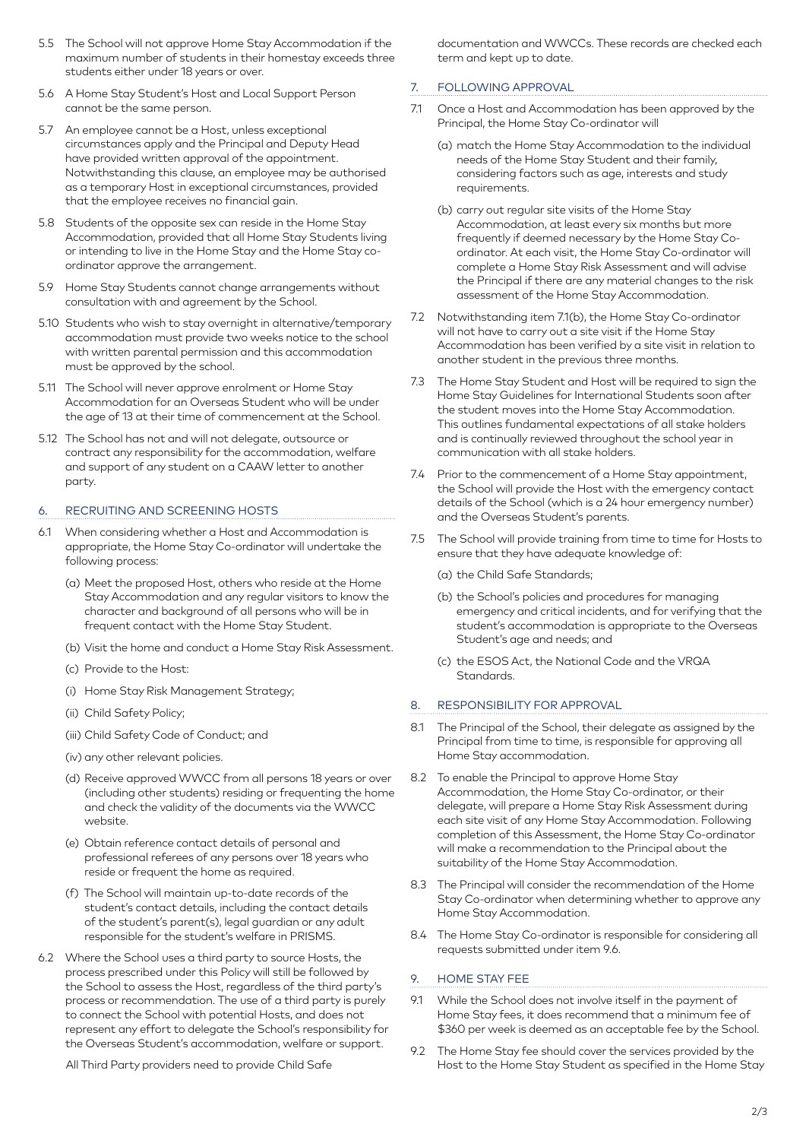- 5.5 The School will not approve Home Stay Accommodation if the maximum number of students in their homestay exceeds three students either under 18 years or over.
- 5.6 A Home Stay Student's Host and Local Support Person cannot be the same person.
- 5.7 An employee cannot be a Host, unless exceptional circumstances apply and the Principal and Deputy Head have provided written approval of the appointment. Notwithstanding this clause, an employee may be authorised as a temporary Host in exceptional circumstances, provided that the employee receives no financial gain.
- 5.8 Students of the opposite sex can reside in the Home Stay Accommodation, provided that all Home Stay Students living or intending to live in the Home Stay and the Home Stay coordinator approve the arrangement.
- 5.9 Home Stay Students cannot change arrangements without consultation with and agreement by the School.
- 5.10 Students who wish to stay overnight in alternative/temporary accommodation must provide two weeks notice to the school with written parental permission and this accommodation must be approved by the school.
- 5.11 The School will never approve enrolment or Home Stay Accommodation for an Overseas Student who will be under the age of 13 at their time of commencement at the School.
- 5.12 The School has not and will not delegate, outsource or contract any responsibility for the accommodation, welfare and support of any student on a CAAW letter to another party.

#### 6. RECRUITING AND SCREENING HOSTS

- 6.1 When considering whether a Host and Accommodation is appropriate, the Home Stay Co-ordinator will undertake the following process:
	- (a) Meet the proposed Host, others who reside at the Home Stay Accommodation and any regular visitors to know the character and background of all persons who will be in frequent contact with the Home Stay Student.
	- (b) Visit the home and conduct a Home Stay Risk Assessment.
	- (c) Provide to the Host:
	- (i) Home Stay Risk Management Strategy;
	- (ii) Child Safety Policy;
	- (iii) Child Safety Code of Conduct; and
	- (iv) any other relevant policies.
	- (d) Receive approved WWCC from all persons 18 years or over (including other students) residing or frequenting the home and check the validity of the documents via the WWCC website.
	- (e) Obtain reference contact details of personal and professional referees of any persons over 18 years who reside or frequent the home as required.
	- (f) The School will maintain up-to-date records of the student's contact details, including the contact details of the student's parent(s), legal guardian or any adult responsible for the student's welfare in PRISMS.
- 6.2 Where the School uses a third party to source Hosts, the process prescribed under this Policy will still be followed by the School to assess the Host, regardless of the third party's process or recommendation. The use of a third party is purely to connect the School with potential Hosts, and does not represent any effort to delegate the School's responsibility for the Overseas Student's accommodation, welfare or support.

All Third Party providers need to provide Child Safe

documentation and WWCCs. These records are checked each term and kept up to date.

#### 7. FOLLOWING APPROVAL

- 7.1 Once a Host and Accommodation has been approved by the Principal, the Home Stay Co-ordinator will
	- (a) match the Home Stay Accommodation to the individual needs of the Home Stay Student and their family, considering factors such as age, interests and study requirements.
	- (b) carry out regular site visits of the Home Stay Accommodation, at least every six months but more frequently if deemed necessary by the Home Stay Coordinator. At each visit, the Home Stay Co-ordinator will complete a Home Stay Risk Assessment and will advise the Principal if there are any material changes to the risk assessment of the Home Stay Accommodation.
- 7.2 Notwithstanding item 7.1(b), the Home Stay Co-ordinator will not have to carry out a site visit if the Home Stay Accommodation has been verified by a site visit in relation to another student in the previous three months.
- 7.3 The Home Stay Student and Host will be required to sign the Home Stay Guidelines for International Students soon after the student moves into the Home Stay Accommodation. This outlines fundamental expectations of all stake holders and is continually reviewed throughout the school year in communication with all stake holders.
- 7.4 Prior to the commencement of a Home Stay appointment, the School will provide the Host with the emergency contact details of the School (which is a 24 hour emergency number) and the Overseas Student's parents.
- 7.5 The School will provide training from time to time for Hosts to ensure that they have adequate knowledge of:
	- (a) the Child Safe Standards;
	- (b) the School's policies and procedures for managing emergency and critical incidents, and for verifying that the student's accommodation is appropriate to the Overseas Student's age and needs; and
	- (c) the ESOS Act, the National Code and the VRQA Standards.

#### 8. RESPONSIBILITY FOR APPROVAL

- 8.1 The Principal of the School, their delegate as assigned by the Principal from time to time, is responsible for approving all Home Stay accommodation.
- 8.2 To enable the Principal to approve Home Stay Accommodation, the Home Stay Co-ordinator, or their delegate, will prepare a Home Stay Risk Assessment during each site visit of any Home Stay Accommodation. Following completion of this Assessment, the Home Stay Co-ordinator will make a recommendation to the Principal about the suitability of the Home Stay Accommodation.
- 8.3 The Principal will consider the recommendation of the Home Stay Co-ordinator when determining whether to approve any Home Stay Accommodation.
- 8.4 The Home Stay Co-ordinator is responsible for considering all requests submitted under item 9.6.

#### 9. HOME STAY FEE

- 9.1 While the School does not involve itself in the payment of Home Stay fees, it does recommend that a minimum fee of \$360 per week is deemed as an acceptable fee by the School.
- 9.2 The Home Stay fee should cover the services provided by the Host to the Home Stay Student as specified in the Home Stay